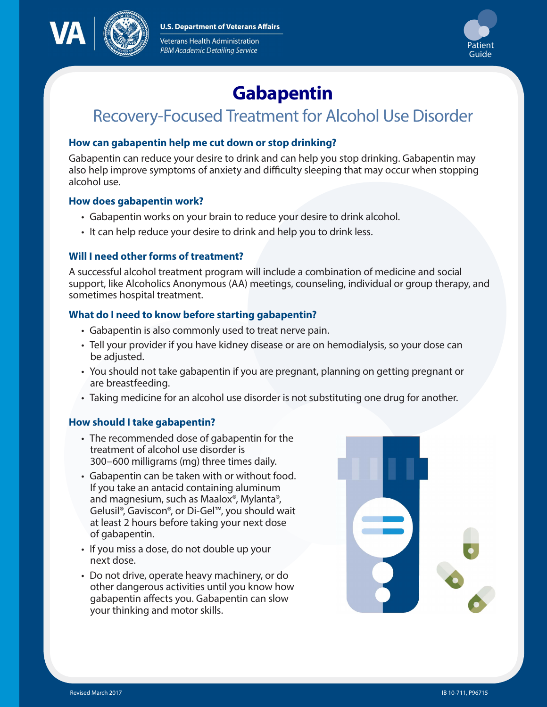**U.S. Department of Veterans Affairs** 



Veterans Health Administration PBM Academic Detailing Service



# **Gabapentin**

# Recovery-Focused Treatment for Alcohol Use Disorder

# **How can gabapentin help me cut down or stop drinking?**

Gabapentin can reduce your desire to drink and can help you stop drinking. Gabapentin may also help improve symptoms of anxiety and difficulty sleeping that may occur when stopping alcohol use.

### **How does gabapentin work?**

- Gabapentin works on your brain to reduce your desire to drink alcohol.
- It can help reduce your desire to drink and help you to drink less.

### **Will I need other forms of treatment?**

A successful alcohol treatment program will include a combination of medicine and social support, like Alcoholics Anonymous (AA) meetings, counseling, individual or group therapy, and sometimes hospital treatment.

# **What do I need to know before starting gabapentin?**

- Gabapentin is also commonly used to treat nerve pain.
- Tell your provider if you have kidney disease or are on hemodialysis, so your dose can be adjusted.
- You should not take gabapentin if you are pregnant, planning on getting pregnant or are breastfeeding.
- Taking medicine for an alcohol use disorder is not substituting one drug for another.

### **How should I take gabapentin?**

- The recommended dose of gabapentin for the treatment of alcohol use disorder is 300–600 milligrams (mg) three times daily.
- Gabapentin can be taken with or without food. If you take an antacid containing aluminum and magnesium, such as Maalox®, Mylanta®, Gelusil®, Gaviscon®, or Di-Gel™, you should wait at least 2 hours before taking your next dose of gabapentin.
- If you miss a dose, do not double up your next dose.
- Do not drive, operate heavy machinery, or do other dangerous activities until you know how gabapentin affects you. Gabapentin can slow your thinking and motor skills.